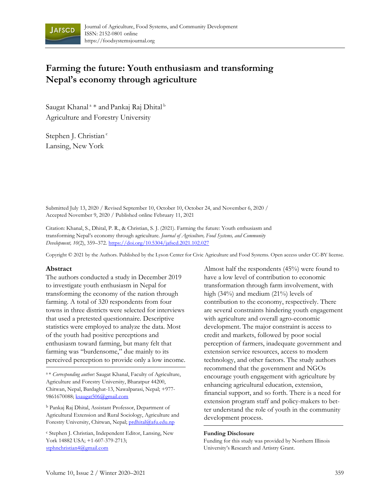

# **Farming the future: Youth enthusiasm and transforming Nepal's economy through agriculture**

Saugat Khanal<sup>a</sup> \* and Pankaj Raj Dhital <sup>b</sup> Agriculture and Forestry University

Stephen J. Christian<sup>c</sup> Lansing, New York

Submitted July 13, 2020 / Revised September 10, October 10, October 24, and November 6, 2020 / Accepted November 9, 2020 / Published online February 11, 2021

Citation: Khanal, S., Dhital, P. R., & Christian, S. J. (2021). Farming the future: Youth enthusiasm and transforming Nepal's economy through agriculture. *Journal of Agriculture, Food Systems, and Community Development, 10*(2), 359–372. https://doi.org/10.5304/jafscd.2021.102.027

Copyright © 2021 by the Authors. Published by the Lyson Center for Civic Agriculture and Food Systems. Open access under CC-BY license.

#### **Abstract**

The authors conducted a study in December 2019 to investigate youth enthusiasm in Nepal for transforming the economy of the nation through farming. A total of 320 respondents from four towns in three districts were selected for interviews that used a pretested questionnaire. Descriptive statistics were employed to analyze the data. Most of the youth had positive perceptions and enthusiasm toward farming, but many felt that farming was "burdensome," due mainly to its perceived perception to provide only a low income.

<sup>a</sup>\* *Corresponding author:* Saugat Khanal, Faculty of Agriculture, Agriculture and Forestry University, Bharatpur 44200, Chitwan, Nepal, Bardaghat-13, Nawalparasi, Nepal; +977- 9861670088; ksaugat506@gmail.com

<sup>b</sup> Pankaj Raj Dhital, Assistant Professor, Department of Agricultural Extension and Rural Sociology, Agriculture and Forestry University, Chitwan, Nepal; prdhital@afu.edu.np

<sup>c</sup> Stephen J. Christian, Independent Editor, Lansing, New York 14882 USA; +1-607-379-2713; stphnchristian4@gmail.com

Almost half the respondents (45%) were found to have a low level of contribution to economic transformation through farm involvement, with high (34%) and medium (21%) levels of contribution to the economy, respectively. There are several constraints hindering youth engagement with agriculture and overall agro-economic development. The major constraint is access to credit and markets, followed by poor social perception of farmers, inadequate government and extension service resources, access to modern technology, and other factors. The study authors recommend that the government and NGOs encourage youth engagement with agriculture by enhancing agricultural education, extension, financial support, and so forth. There is a need for extension program staff and policy-makers to better understand the role of youth in the community development process.

#### **Funding Disclosure**

Funding for this study was provided by Northern Illinois University's Research and Artistry Grant.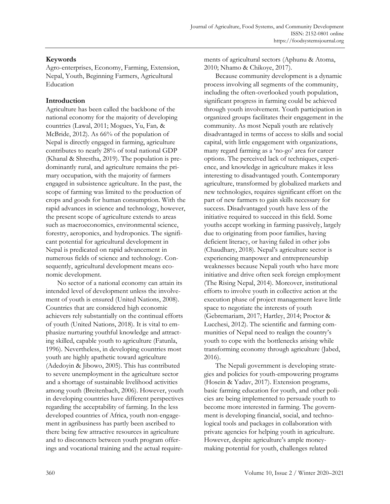# **Keywords**

Agro-enterprises, Economy, Farming, Extension, Nepal, Youth, Beginning Farmers, Agricultural Education

# **Introduction**

Agriculture has been called the backbone of the national economy for the majority of developing countries (Lawal, 2011; Mogues, Yu, Fan*,* & McBride, 2012). As 66% of the population of Nepal is directly engaged in farming, agriculture contributes to nearly 28% of total national GDP (Khanal & Shrestha, 2019). The population is predominantly rural, and agriculture remains the primary occupation, with the majority of farmers engaged in subsistence agriculture. In the past, the scope of farming was limited to the production of crops and goods for human consumption. With the rapid advances in science and technology, however, the present scope of agriculture extends to areas such as macroeconomics, environmental science, forestry, aeroponics, and hydroponics. The significant potential for agricultural development in Nepal is predicated on rapid advancement in numerous fields of science and technology. Consequently, agricultural development means economic development.

No sector of a national economy can attain its intended level of development unless the involvement of youth is ensured (United Nations, 2008). Countries that are considered high economic achievers rely substantially on the continual efforts of youth (United Nations, 2018). It is vital to emphasize nurturing youthful knowledge and attracting skilled, capable youth to agriculture (Fatunla, 1996). Nevertheless, in developing countries most youth are highly apathetic toward agriculture (Adedoyin & Jibowo, 2005). This has contributed to severe unemployment in the agriculture sector and a shortage of sustainable livelihood activities among youth (Breitenbach, 2006). However, youth in developing countries have different perspectives regarding the acceptability of farming. In the less developed countries of Africa, youth non-engagement in agribusiness has partly been ascribed to there being few attractive resources in agriculture and to disconnects between youth program offerings and vocational training and the actual requirements of agricultural sectors (Aphunu & Atoma, 2010; Nhamo & Chikoye, 2017).

Because community development is a dynamic process involving all segments of the community, including the often-overlooked youth population, significant progress in farming could be achieved through youth involvement. Youth participation in organized groups facilitates their engagement in the community. As most Nepali youth are relatively disadvantaged in terms of access to skills and social capital, with little engagement with organizations, many regard farming as a 'no-go' area for career options. The perceived lack of techniques, experience, and knowledge in agriculture makes it less interesting to disadvantaged youth. Contemporary agriculture, transformed by globalized markets and new technologies, requires significant effort on the part of new farmers to gain skills necessary for success. Disadvantaged youth have less of the initiative required to succeed in this field. Some youths accept working in farming passively, largely due to originating from poor families, having deficient literacy, or having failed in other jobs (Chaudhary, 2018). Nepal's agriculture sector is experiencing manpower and entrepreneurship weaknesses because Nepali youth who have more initiative and drive often seek foreign employment (The Rising Nepal, 2014). Moreover, institutional efforts to involve youth in collective action at the execution phase of project management leave little space to negotiate the interests of youth (Gebremariam, 2017; Hartley, 2014; Proctor & Lucchesi, 2012). The scientific and farming communities of Nepal need to realign the country's youth to cope with the bottlenecks arising while transforming economy through agriculture (Jabed, 2016).

The Nepali government is developing strategies and policies for youth-empowering programs (Hosein & Yadav, 2017). Extension programs, basic farming education for youth, and other policies are being implemented to persuade youth to become more interested in farming. The government is developing financial, social, and technological tools and packages in collaboration with private agencies for helping youth in agriculture. However, despite agriculture's ample moneymaking potential for youth, challenges related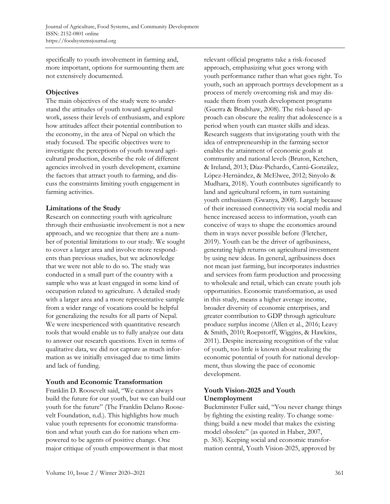specifically to youth involvement in farming and, more important, options for surmounting them are not extensively documented.

### **Objectives**

The main objectives of the study were to understand the attitudes of youth toward agricultural work, assess their levels of enthusiasm, and explore how attitudes affect their potential contribution to the economy, in the area of Nepal on which the study focused. The specific objectives were to investigate the perceptions of youth toward agricultural production, describe the role of different agencies involved in youth development, examine the factors that attract youth to farming, and discuss the constraints limiting youth engagement in farming activities.

### **Limitations of the Study**

Research on connecting youth with agriculture through their enthusiastic involvement is not a new approach, and we recognize that there are a number of potential limitations to our study. We sought to cover a larger area and involve more respondents than previous studies, but we acknowledge that we were not able to do so. The study was conducted in a small part of the country with a sample who was at least engaged in some kind of occupation related to agriculture. A detailed study with a larger area and a more representative sample from a wider range of vocations could be helpful for generalizing the results for all parts of Nepal. We were inexperienced with quantitative research tools that would enable us to fully analyze our data to answer our research questions. Even in terms of qualitative data, we did not capture as much information as we initially envisaged due to time limits and lack of funding.

# **Youth and Economic Transformation**

Franklin D. Roosevelt said, "We cannot always build the future for our youth, but we can build our youth for the future" (The Franklin Delano Roosevelt Foundation, n.d.). This highlights how much value youth represents for economic transformation and what youth can do for nations when empowered to be agents of positive change. One major critique of youth empowerment is that most

relevant official programs take a risk-focused approach, emphasizing what goes wrong with youth performance rather than what goes right. To youth, such an approach portrays development as a process of merely overcoming risk and may dissuade them from youth development programs (Guerra & Bradshaw, 2008). The risk-based approach can obscure the reality that adolescence is a period when youth can master skills and ideas. Research suggests that invigorating youth with the idea of entrepreneurship in the farming sector enables the attainment of economic goals at community and national levels (Bruton, Ketchen, & Ireland, 2013; Díaz-Pichardo, Cantú-González, López-Hernández, & McElwee, 2012; Sinyolo & Mudhara, 2018). Youth contributes significantly to land and agricultural reform, in turn sustaining youth enthusiasm (Gwanya, 2008). Largely because of their increased connectivity via social media and hence increased access to information, youth can conceive of ways to shape the economies around them in ways never possible before (Fletcher, 2019). Youth can be the driver of agribusiness, generating high returns on agricultural investment by using new ideas. In general, agribusiness does not mean just farming, but incorporates industries and services from farm production and processing to wholesale and retail, which can create youth job opportunities. Economic transformation, as used in this study, means a higher average income, broader diversity of economic enterprises, and greater contribution to GDP through agriculture produce surplus income (Allen et al., 2016; Leavy & Smith, 2010; Roepstorff, Wiggins, & Hawkins, 2011). Despite increasing recognition of the value of youth, too little is known about realizing the economic potential of youth for national development, thus slowing the pace of economic development.

# **Youth Vision-2025 and Youth Unemployment**

Buckminster Fuller said, "You never change things by fighting the existing reality. To change something; build a new model that makes the existing model obsolete" (as quoted in Haber, 2007, p. 363). Keeping social and economic transformation central, Youth Vision-2025, approved by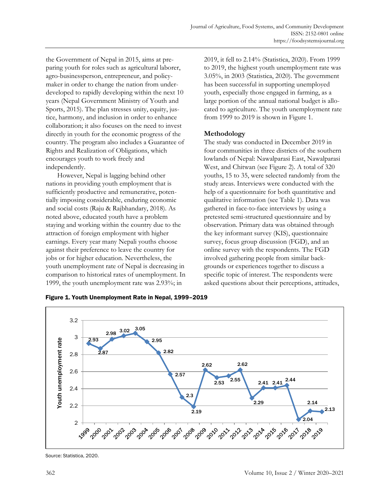the Government of Nepal in 2015, aims at preparing youth for roles such as agricultural laborer, agro-businessperson, entrepreneur, and policymaker in order to change the nation from underdeveloped to rapidly developing within the next 10 years (Nepal Government Ministry of Youth and Sports, 2015). The plan stresses unity, equity, justice, harmony, and inclusion in order to enhance collaboration; it also focuses on the need to invest directly in youth for the economic progress of the country. The program also includes a Guarantee of Rights and Realization of Obligations, which encourages youth to work freely and independently.

However, Nepal is lagging behind other nations in providing youth employment that is sufficiently productive and remunerative, potentially imposing considerable, enduring economic and social costs (Raju & Rajbhandary, 2018). As noted above, educated youth have a problem staying and working within the country due to the attraction of foreign employment with higher earnings. Every year many Nepali youths choose against their preference to leave the country for jobs or for higher education. Nevertheless, the youth unemployment rate of Nepal is decreasing in comparison to historical rates of unemployment. In 1999, the youth unemployment rate was 2.93%; in

2019, it fell to 2.14% (Statistica, 2020). From 1999 to 2019, the highest youth unemployment rate was 3.05%, in 2003 (Statistica, 2020). The government has been successful in supporting unemployed youth, especially those engaged in farming, as a large portion of the annual national budget is allocated to agriculture. The youth unemployment rate from 1999 to 2019 is shown in Figure 1.

# **Methodology**

The study was conducted in December 2019 in four communities in three districts of the southern lowlands of Nepal: Nawalparasi East, Nawalparasi West, and Chitwan (see Figure 2). A total of 320 youths, 15 to 35, were selected randomly from the study areas. Interviews were conducted with the help of a questionnaire for both quantitative and qualitative information (see Table 1). Data was gathered in face-to-face interviews by using a pretested semi-structured questionnaire and by observation. Primary data was obtained through the key informant survey (KIS), questionnaire survey, focus group discussion (FGD), and an online survey with the respondents. The FGD involved gathering people from similar backgrounds or experiences together to discuss a specific topic of interest. The respondents were asked questions about their perceptions, attitudes,





Source: Statistica, 2020.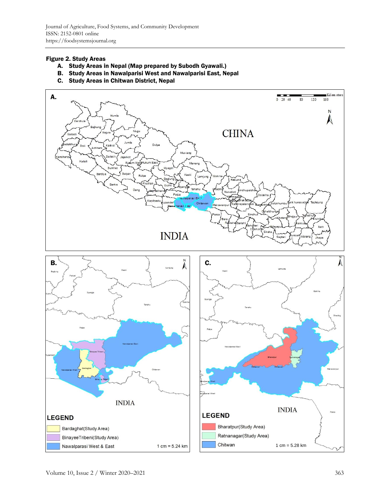#### Figure 2. Study Areas

- A. Study Areas in Nepal (Map prepared by Subodh Gyawali.)
- B. Study Areas in Nawalparisi West and Nawalparisi East, Nepal
- C. Study Areas in Chitwan District, Nepal

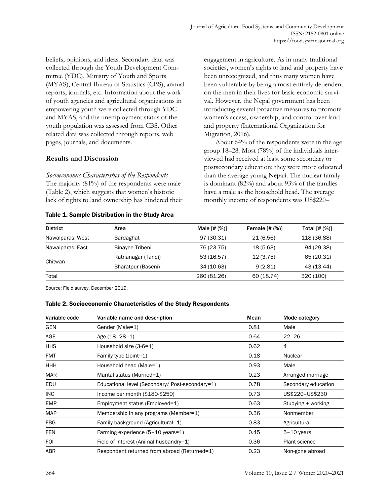beliefs, opinions, and ideas. Secondary data was collected through the Youth Development Committee (YDC), Ministry of Youth and Sports (MYAS), Central Bureau of Statistics (CBS), annual reports, journals, etc. Information about the work of youth agencies and agricultural organizations in empowering youth were collected through YDC and MYAS, and the unemployment status of the youth population was assessed from CBS. Other related data was collected through reports, web pages, journals, and documents.

### **Results and Discussion**

*Socioeconomic Characteristics of the Respondents* The majority (81%) of the respondents were male (Table 2), which suggests that women's historic lack of rights to land ownership has hindered their

#### Table 1. Sample Distribution in the Study Area

engagement in agriculture. As in many traditional societies, women's rights to land and property have been unrecognized, and thus many women have been vulnerable by being almost entirely dependent on the men in their lives for basic economic survival. However, the Nepal government has been introducing several proactive measures to promote women's access, ownership, and control over land and property (International Organization for Migration, 2016).

About 64% of the respondents were in the age group 18–28. Most (78%) of the individuals interviewed had received at least some secondary or postsecondary education; they were more educated than the average young Nepali. The nuclear family is dominant (82%) and about 93% of the families have a male as the household head. The average monthly income of respondents was US\$220–

| <b>District</b>  | Area               | Male $[# (%)]$ | <b>Female</b> $[# (%)]$ | Total $[# (%)]$ |
|------------------|--------------------|----------------|-------------------------|-----------------|
| Nawalparasi West | <b>Bardaghat</b>   | 97 (30.31)     | 21 (6.56)               | 118 (36.88)     |
| Nawalparasi East | Binayee Tribeni    | 76 (23.75)     | 18(5.63)                | 94 (29.38)      |
|                  | Ratnanagar (Tandi) | 53 (16.57)     | 12(3.75)                | 65 (20.31)      |
| Chitwan          | Bharatpur (Baseni) | 34 (10.63)     | 9(2.81)                 | 43 (13.44)      |
| Total            |                    | 260 (81.26)    | 60 (18.74)              | 320 (100)       |

Source: Field survey, December 2019.

#### Table 2. Socioeconomic Characteristics of the Study Respondents

| Variable code | Variable name and description                   | Mean | Mode category        |
|---------------|-------------------------------------------------|------|----------------------|
| <b>GEN</b>    | Gender (Male=1)                                 | 0.81 | Male                 |
| AGE           | Age (18-28=1)                                   | 0.64 | $22 - 26$            |
| <b>HHS</b>    | Household size (3-6=1)                          | 0.62 | 4                    |
| <b>FMT</b>    | Family type (Joint=1)                           | 0.18 | <b>Nuclear</b>       |
| HHH           | Household head (Male=1)                         | 0.93 | Male                 |
| <b>MAR</b>    | Marital status (Married=1)                      | 0.23 | Arranged marriage    |
| EDU           | Educational level (Secondary/ Post-secondary=1) | 0.78 | Secondary education  |
| <b>INC</b>    | Income per month $(\$180-\$250)$                | 0.73 | US\$220-US\$230      |
| <b>EMP</b>    | Employment status (Employed=1)                  | 0.63 | Studying + working   |
| <b>MAP</b>    | Membership in any programs (Member=1)           | 0.36 | Nonmember            |
| FBG           | Family background (Agricultural=1)              | 0.83 | Agricultural         |
| <b>FEN</b>    | Farming experience (5-10 years=1)               | 0.45 | $5-10$ years         |
| <b>FOI</b>    | Field of interest (Animal husbandry=1)          | 0.36 | <b>Plant science</b> |
| <b>ABR</b>    | Respondent returned from abroad (Returned=1)    | 0.23 | Non-gone abroad      |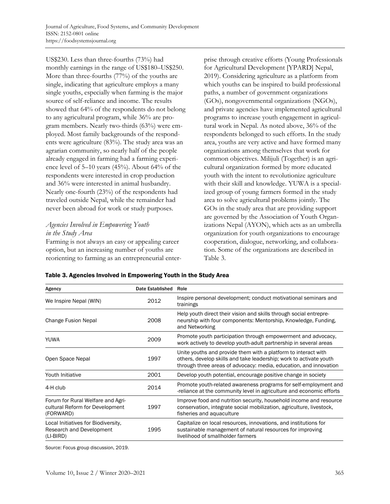US\$230. Less than three-fourths (73%) had monthly earnings in the range of US\$180–US\$250. More than three-fourths (77%) of the youths are single, indicating that agriculture employs a many single youths, especially when farming is the major source of self-reliance and income. The results showed that 64% of the respondents do not belong to any agricultural program, while 36% are program members. Nearly two-thirds (63%) were employed. Most family backgrounds of the respondents were agriculture (83%). The study area was an agrarian community, so nearly half of the people already engaged in farming had a farming experience level of 5–10 years (45%). About 64% of the respondents were interested in crop production and 36% were interested in animal husbandry. Nearly one-fourth (23%) of the respondents had traveled outside Nepal, while the remainder had never been abroad for work or study purposes.

# *Agencies Involved in Empowering Youth in the Study Area*

Farming is not always an easy or appealing career option, but an increasing number of youths are reorienting to farming as an entrepreneurial enter-

prise through creative efforts (Young Professionals for Agricultural Development [YPARD] Nepal, 2019). Considering agriculture as a platform from which youths can be inspired to build professional paths, a number of government organizations (GOs), nongovernmental organizations (NGOs), and private agencies have implemented agricultural programs to increase youth engagement in agricultural work in Nepal. As noted above, 36% of the respondents belonged to such efforts. In the study area, youths are very active and have formed many organizations among themselves that work for common objectives. Milijuli (Together) is an agricultural organization formed by more educated youth with the intent to revolutionize agriculture with their skill and knowledge. YUWA is a specialized group of young farmers formed in the study area to solve agricultural problems jointly. The GOs in the study area that are providing support are governed by the Association of Youth Organizations Nepal (AYON), which acts as an umbrella organization for youth organizations to encourage cooperation, dialogue, networking, and collaboration. Some of the organizations are described in Table 3.

| Agency                                                                            | Date Established Role |                                                                                                                                                                                                           |
|-----------------------------------------------------------------------------------|-----------------------|-----------------------------------------------------------------------------------------------------------------------------------------------------------------------------------------------------------|
| We Inspire Nepal (WIN)                                                            | 2012                  | Inspire personal development; conduct motivational seminars and<br>trainings                                                                                                                              |
| Change Fusion Nepal                                                               | 2008                  | Help youth direct their vision and skills through social entrepre-<br>neurship with four components: Mentorship, Knowledge, Funding,<br>and Networking                                                    |
| YUWA                                                                              | 2009                  | Promote youth participation through empowerment and advocacy,<br>work actively to develop youth-adult partnership in several areas                                                                        |
| Open Space Nepal                                                                  | 1997                  | Unite youths and provide them with a platform to interact with<br>others, develop skills and take leadership; work to activate youth<br>through three areas of advocacy: media, education, and innovation |
| Youth Initiative                                                                  | 2001                  | Develop youth potential, encourage positive change in society                                                                                                                                             |
| 4-H club                                                                          | 2014                  | Promote youth-related awareness programs for self-employment and<br>-reliance at the community level in agriculture and economic efforts                                                                  |
| Forum for Rural Welfare and Agri-<br>cultural Reform for Development<br>(FORWARD) | 1997                  | Improve food and nutrition security, household income and resource<br>conservation, integrate social mobilization, agriculture, livestock,<br>fisheries and aquaculture                                   |
| Local Initiatives for Biodiversity,<br>Research and Development<br>(LI-BIRD)      | 1995                  | Capitalize on local resources, innovations, and institutions for<br>sustainable management of natural resources for improving<br>livelihood of smallholder farmers                                        |

#### Table 3. Agencies Involved in Empowering Youth in the Study Area

Source: Focus group discussion, 2019.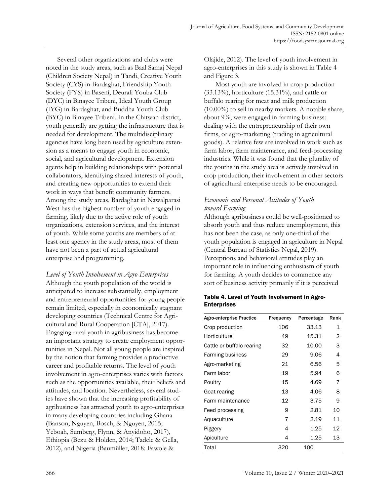Several other organizations and clubs were noted in the study areas, such as Baal Samaj Nepal (Children Society Nepal) in Tandi, Creative Youth Society (CYS) in Bardaghat, Friendship Youth Society (FYS) in Baseni, Deurali Youba Club (DYC) in Binayee Tribeni, Ideal Youth Group (IYG) in Bardaghat, and Buddha Youth Club (BYC) in Binayee Tribeni. In the Chitwan district, youth generally are getting the infrastructure that is needed for development. The multidisciplinary agencies have long been used by agriculture extension as a means to engage youth in economic, social, and agricultural development. Extension agents help in building relationships with potential collaborators, identifying shared interests of youth, and creating new opportunities to extend their work in ways that benefit community farmers. Among the study areas, Bardaghat in Nawalparasi West has the highest number of youth engaged in farming, likely due to the active role of youth organizations, extension services, and the interest of youth. While some youths are members of at least one agency in the study areas, most of them have not been a part of actual agricultural enterprise and programming.

*Level of Youth Involvement in Agro-Enterprises* Although the youth population of the world is anticipated to increase substantially, employment and entrepreneurial opportunities for young people remain limited, especially in economically stagnant developing countries (Technical Centre for Agricultural and Rural Cooperation [CTA], 2017). Engaging rural youth in agribusiness has become an important strategy to create employment opportunities in Nepal. Not all young people are inspired by the notion that farming provides a productive career and profitable returns. The level of youth involvement in agro-enterprises varies with factors such as the opportunities available, their beliefs and attitudes, and location. Nevertheless, several studies have shown that the increasing profitability of agribusiness has attracted youth to agro-enterprises in many developing countries including Ghana (Banson, Nguyen, Bosch, & Nguyen, 2015; Yeboah, Sumberg, Flynn, & Anyidoho, 2017), Ethiopia (Bezu & Holden, 2014; Tadele & Gella, 2012), and Nigeria (Baumüller, 2018; Fawole &

Olajide, 2012). The level of youth involvement in agro-enterprises in this study is shown in Table 4 and Figure 3.

Most youth are involved in crop production  $(33.13\%)$ , horticulture  $(15.31\%)$ , and cattle or buffalo rearing for meat and milk production (10.00%) to sell in nearby markets. A notable share, about 9%, were engaged in farming business: dealing with the entrepreneurship of their own firms, or agro-marketing (trading in agricultural goods). A relative few are involved in work such as farm labor, farm maintenance, and feed-processing industries. While it was found that the plurality of the youths in the study area is actively involved in crop production, their involvement in other sectors of agricultural enterprise needs to be encouraged.

# *Economic and Personal Attitudes of Youth toward Farming*

Although agribusiness could be well-positioned to absorb youth and thus reduce unemployment, this has not been the case, as only one-third of the youth population is engaged in agriculture in Nepal (Central Bureau of Statistics Nepal, 2019). Perceptions and behavioral attitudes play an important role in influencing enthusiasm of youth for farming. A youth decides to commence any sort of business activity primarily if it is perceived

### Table 4. Level of Youth Involvement in Agro-Enterprises

| <b>Agro-enterprise Practice</b> | Frequency | Percentage | Rank |  |
|---------------------------------|-----------|------------|------|--|
| Crop production                 | 106       | 33.13      | 1    |  |
| Horticulture                    | 49        | 15.31      | 2    |  |
| Cattle or buffalo rearing       | 32        | 10.00      | 3    |  |
| <b>Farming business</b>         | 29        | 9.06       | 4    |  |
| Agro-marketing                  | 21        | 6.56       | 5    |  |
| Farm labor                      | 19        | 5.94       | 6    |  |
| Poultry                         | 15        | 4.69       | 7    |  |
| Goat rearing                    | 13        | 4.06       | 8    |  |
| Farm maintenance                | 12        | 3.75       | 9    |  |
| Feed processing                 | 9         | 2.81       | 10   |  |
| Aquaculture                     | 7         | 2.19       | 11   |  |
| Piggery                         | 4         | 1.25       | 12   |  |
| Apiculture                      | 4         | 1.25       | 13   |  |
| Total                           | 320       | 100        |      |  |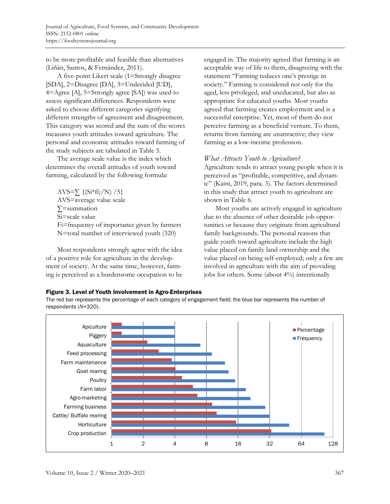to be more profitable and feasible than alternatives (Liñán, Santos, & Fernández, 2011).

A five-point Likert scale (1=Strongly disagree [SDA], 2=Disagree [DA], 3=Undecided [UD], 4=Agree [A], 5=Strongly agree [SA]) was used to assess significant differences. Respondents were asked to choose different categories signifying different strengths of agreement and disagreement. This category was scored and the sum of the scores measures youth attitudes toward agriculture. The personal and economic attitudes toward farming of the study subjects are tabulated in Table 5.

The average scale value is the index which determines the overall attitudes of youth toward farming, calculated by the following formula:

AVS= $\sum$  {(Si<sup>\*</sup>fi)/N) /5} AVS=average value scale ∑=summation Si=scale value Fi=frequency of importance given by farmers N=total number of interviewed youth (320)

Most respondents strongly agree with the idea of a positive role for agriculture in the development of society. At the same time, however, farming is perceived as a burdensome occupation to be engaged in. The majority agreed that farming is an acceptable way of life to them, disagreeing with the statement "Farming reduces one's prestige in society." Farming is considered not only for the aged, less privileged, and uneducated, but also as appropriate for educated youths. Most youths agreed that farming creates employment and is a successful enterprise. Yet, most of them do not perceive farming as a beneficial venture. To them, returns from farming are unattractive; they view farming as a low-income profession.

### *What Attracts Youth to Agriculture?*

Agriculture tends to attract young people when it is perceived as "profitable, competitive, and dynamic" (Kaini, 2019, para. 3). The factors determined in this study that attract youth to agriculture are shown in Table 6.

Most youths are actively engaged in agriculture due to the absence of other desirable job opportunities or because they originate from agricultural family backgrounds. The personal reasons that guide youth toward agriculture include the high value placed on family land ownership and the value placed on being self-employed; only a few are involved in agriculture with the aim of providing jobs for others. Some (about 4%) intentionally

### Figure 3. Level of Youth Involvement in Agro-Enterprises

The red bar represents the percentage of each category of engagement field; the blue bar represents the number of respondents (*N*=320).

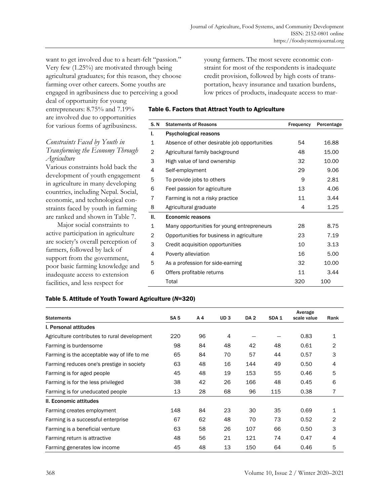want to get involved due to a heart-felt "passion." Very few (1.25%) are motivated through being agricultural graduates; for this reason, they choose farming over other careers. Some youths are engaged in agribusiness due to perceiving a good

young farmers. The most severe economic constraint for most of the respondents is inadequate credit provision, followed by high costs of transportation, heavy insurance and taxation burdens, low prices of products, inadequate access to mar-

Table 6. Factors that Attract Youth to Agriculture

| S. N        | <b>Statements of Reasons</b>                 | Frequency | Percentage |
|-------------|----------------------------------------------|-----------|------------|
| ı.          | Psychological reasons                        |           |            |
| 1           | Absence of other desirable job opportunities | 54        | 16.88      |
| 2           | Agricultural family background               | 48        | 15.00      |
| 3           | High value of land ownership                 | 32        | 10.00      |
| 4           | Self-employment                              | 29        | 9.06       |
| 5           | To provide jobs to others                    | 9         | 2.81       |
| 6           | Feel passion for agriculture                 | 13        | 4.06       |
| 7           | Farming is not a risky practice              | 11        | 3.44       |
| 8           | Agricultural graduate                        | 4         | 1.25       |
| Ш.          | <b>Economic reasons</b>                      |           |            |
| $\mathbf 1$ | Many opportunities for young entrepreneurs   | 28        | 8.75       |
| 2           | Opportunities for business in agriculture    | 23        | 7.19       |
| 3           | Credit acquisition opportunities             | 10        | 3.13       |
| 4           | Poverty alleviation                          | 16        | 5.00       |
| 5           | As a profession for side-earning             | 32        | 10.00      |
| 6           | Offers profitable returns                    | 11        | 3.44       |
|             | Total                                        | 320       | 100        |

### *Constraints Faced by Youth in Transforming the Economy Through Agriculture*

deal of opportunity for young entrepreneurs: 8.75% and 7.19% are involved due to opportunities for various forms of agribusiness.

Various constraints hold back the development of youth engagement in agriculture in many developing countries, including Nepal. Social, economic, and technological constraints faced by youth in farming are ranked and shown in Table 7.

Major social constraints to active participation in agriculture are society's overall perception of farmers, followed by lack of support from the government, poor basic farming knowledge and inadequate access to extension facilities, and less respect for

#### Table 5. Attitude of Youth Toward Agriculture (*N*=320)

|                                              |                 |     |     |      |                  | Average     |      |
|----------------------------------------------|-----------------|-----|-----|------|------------------|-------------|------|
| <b>Statements</b>                            | SA <sub>5</sub> | A 4 | UD3 | DA 2 | SDA <sub>1</sub> | scale value | Rank |
| I. Personal attitudes                        |                 |     |     |      |                  |             |      |
| Agriculture contributes to rural development | 220             | 96  | 4   |      |                  | 0.83        | 1    |
| Farming is burdensome                        | 98              | 84  | 48  | 42   | 48               | 0.61        | 2    |
| Farming is the acceptable way of life to me  | 65              | 84  | 70  | 57   | 44               | 0.57        | 3    |
| Farming reduces one's prestige in society    | 63              | 48  | 16  | 144  | 49               | 0.50        | 4    |
| Farming is for aged people                   | 45              | 48  | 19  | 153  | 55               | 0.46        | 5    |
| Farming is for the less privileged           | 38              | 42  | 26  | 166  | 48               | 0.45        | 6    |
| Farming is for uneducated people             | 13              | 28  | 68  | 96   | 115              | 0.38        | 7    |
| II. Economic attitudes                       |                 |     |     |      |                  |             |      |
| Farming creates employment                   | 148             | 84  | 23  | 30   | 35               | 0.69        | 1    |
| Farming is a successful enterprise           | 67              | 62  | 48  | 70   | 73               | 0.52        | 2    |
| Farming is a beneficial venture              | 63              | 58  | 26  | 107  | 66               | 0.50        | 3    |
| Farming return is attractive                 | 48              | 56  | 21  | 121  | 74               | 0.47        | 4    |
| Farming generates low income                 | 45              | 48  | 13  | 150  | 64               | 0.46        | 5    |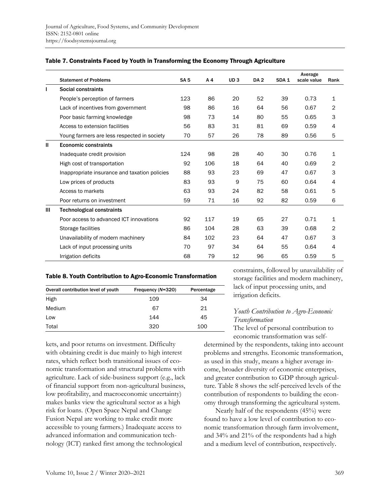|              |                                               |             |                |                 |                 |                  | Average     |             |
|--------------|-----------------------------------------------|-------------|----------------|-----------------|-----------------|------------------|-------------|-------------|
|              | <b>Statement of Problems</b>                  | <b>SA 5</b> | A <sub>4</sub> | UD <sub>3</sub> | DA <sub>2</sub> | SDA <sub>1</sub> | scale value | Rank        |
| $\mathbf{I}$ | Social constraints                            |             |                |                 |                 |                  |             |             |
|              | People's perception of farmers                | 123         | 86             | 20              | 52              | 39               | 0.73        | $\mathbf 1$ |
|              | Lack of incentives from government            | 98          | 86             | 16              | 64              | 56               | 0.67        | 2           |
|              | Poor basic farming knowledge                  | 98          | 73             | 14              | 80              | 55               | 0.65        | 3           |
|              | Access to extension facilities                | 56          | 83             | 31              | 81              | 69               | 0.59        | 4           |
|              | Young farmers are less respected in society   | 70          | 57             | 26              | 78              | 89               | 0.56        | 5           |
| $\mathbf{I}$ | <b>Economic constraints</b>                   |             |                |                 |                 |                  |             |             |
|              | Inadequate credit provision                   | 124         | 98             | 28              | 40              | 30               | 0.76        | $\mathbf 1$ |
|              | High cost of transportation                   | 92          | 106            | 18              | 64              | 40               | 0.69        | 2           |
|              | Inappropriate insurance and taxation policies | 88          | 93             | 23              | 69              | 47               | 0.67        | 3           |
|              | Low prices of products                        | 83          | 93             | 9               | 75              | 60               | 0.64        | 4           |
|              | Access to markets                             | 63          | 93             | 24              | 82              | 58               | 0.61        | 5           |
|              | Poor returns on investment                    | 59          | 71             | 16              | 92              | 82               | 0.59        | 6           |
| Ш            | <b>Technological constraints</b>              |             |                |                 |                 |                  |             |             |
|              | Poor access to advanced ICT innovations       | 92          | 117            | 19              | 65              | 27               | 0.71        | 1           |
|              | Storage facilities                            | 86          | 104            | 28              | 63              | 39               | 0.68        | 2           |
|              | Unavailability of modern machinery            | 84          | 102            | 23              | 64              | 47               | 0.67        | 3           |
|              | Lack of input processing units                | 70          | 97             | 34              | 64              | 55               | 0.64        | 4           |
|              | Irrigation deficits                           | 68          | 79             | 12              | 96              | 65               | 0.59        | 5           |

#### Table 7. Constraints Faced by Youth in Transforming the Economy Through Agriculture

#### Table 8. Youth Contribution to Agro-Economic Transformation

| Overall contribution level of youth | Frequency (N=320) | Percentage |
|-------------------------------------|-------------------|------------|
| High                                | 109               | 34         |
| Medium                              | 67                | 21         |
| Low                                 | 144               | 45         |
| Total                               | 320               | 100        |

kets, and poor returns on investment. Difficulty with obtaining credit is due mainly to high interest rates, which reflect both transitional issues of economic transformation and structural problems with agriculture. Lack of side-business support (e.g., lack of financial support from non-agricultural business, low profitability, and macroeconomic uncertainty) makes banks view the agricultural sector as a high risk for loans. (Open Space Nepal and Change Fusion Nepal are working to make credit more accessible to young farmers.) Inadequate access to advanced information and communication technology (ICT) ranked first among the technological

constraints, followed by unavailability of storage facilities and modern machinery, lack of input processing units, and irrigation deficits.

### *Youth Contribution to Agro-Economic Transformation*

The level of personal contribution to

economic transformation was selfdetermined by the respondents, taking into account problems and strengths. Economic transformation, as used in this study, means a higher average income, broader diversity of economic enterprises, and greater contribution to GDP through agriculture. Table 8 shows the self-perceived levels of the contribution of respondents to building the economy through transforming the agricultural system.

Nearly half of the respondents (45%) were found to have a low level of contribution to economic transformation through farm involvement, and 34% and 21% of the respondents had a high and a medium level of contribution, respectively.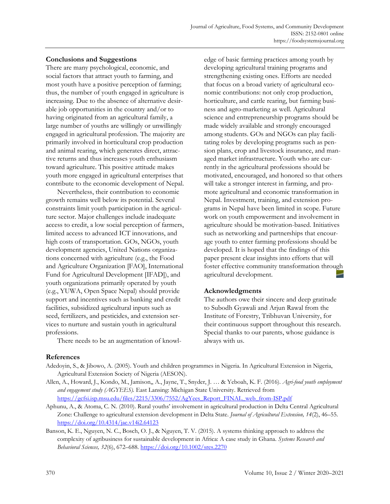### **Conclusions and Suggestions**

There are many psychological, economic, and social factors that attract youth to farming, and most youth have a positive perception of farming; thus, the number of youth engaged in agriculture is increasing. Due to the absence of alternative desirable job opportunities in the country and/or to having originated from an agricultural family, a large number of youths are willingly or unwillingly engaged in agricultural profession. The majority are primarily involved in horticultural crop production and animal rearing, which generates direct, attractive returns and thus increases youth enthusiasm toward agriculture. This positive attitude makes youth more engaged in agricultural enterprises that contribute to the economic development of Nepal.

Nevertheless, their contribution to economic growth remains well below its potential. Several constraints limit youth participation in the agriculture sector. Major challenges include inadequate access to credit, a low social perception of farmers, limited access to advanced ICT innovations, and high costs of transportation. GOs, NGOs, youth development agencies, United Nations organizations concerned with agriculture (e.g., the Food and Agriculture Organization [FAO], International Fund for Agricultural Development [IFAD]), and youth organizations primarily operated by youth (e.g., YUWA, Open Space Nepal) should provide support and incentives such as banking and credit facilities, subsidized agricultural inputs such as seed, fertilizers, and pesticides, and extension services to nurture and sustain youth in agricultural professions.

There needs to be an augmentation of knowl-

edge of basic farming practices among youth by developing agricultural training programs and strengthening existing ones. Efforts are needed that focus on a broad variety of agricultural economic contributions: not only crop production, horticulture, and cattle rearing, but farming business and agro-marketing as well. Agricultural science and entrepreneurship programs should be made widely available and strongly encouraged among students. GOs and NGOs can play facilitating roles by developing programs such as pension plans, crop and livestock insurance, and managed market infrastructure. Youth who are currently in the agricultural professions should be motivated, encouraged, and honored so that others will take a stronger interest in farming, and promote agricultural and economic transformation in Nepal. Investment, training, and extension programs in Nepal have been limited in scope. Future work on youth empowerment and involvement in agriculture should be motivation-based. Initiatives such as networking and partnerships that encourage youth to enter farming professions should be developed. It is hoped that the findings of this paper present clear insights into efforts that will foster effective community transformation through agricultural development.

# **Acknowledgments**

The authors owe their sincere and deep gratitude to Subodh Gyawali and Arjun Rawal from the Institute of Forestry, Tribhuvan University, for their continuous support throughout this research. Special thanks to our parents, whose guidance is always with us.

# **References**

- Adedoyin, S., & Jibowo, A. (2005). Youth and children programmes in Nigeria. In Agricultural Extension in Nigeria, Agricultural Extension Society of Nigeria (AESON).
- Allen, A., Howard, J., Kondo, M., Jamison,, A., Jayne, T., Snyder, J. … & Yeboah, K. F. (2016). *Agri-food youth employment and engagement study (AGYEES).* East Lansing: Michigan State University. Retrieved from https://gcfsi.isp.msu.edu/files/2215/3306/7552/AgYees\_Report\_FINAL\_web\_from-ISP.pdf
- Aphunu, A., & Atoma, C. N. (2010). Rural youths' involvement in agricultural production in Delta Central Agricultural Zone: Challenge to agricultural extension development in Delta State. *Journal of Agricultural Extension, 14*(2), 46–55. https://doi.org/10.4314/jae.v14i2.64123
- Banson, K. E., Nguyen, N. C., Bosch, O. J., & Nguyen, T. V. (2015). A systems thinking approach to address the complexity of agribusiness for sustainable development in Africa: A case study in Ghana. *Systems Research and Behavioral Sciences, 32*(6), 672–688. https://doi.org/10.1002/sres.2270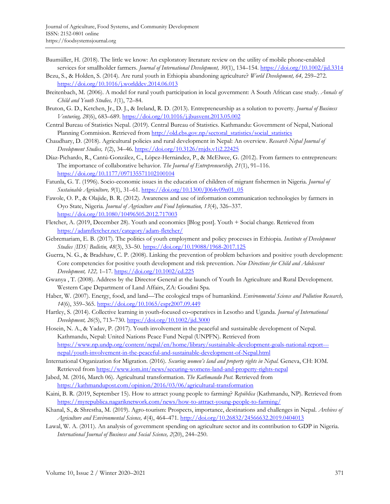- Baumüller, H. (2018). The little we know: An exploratory literature review on the utility of mobile phone‐enabled services for smallholder farmers. *Journal of International Development, 30*(1), 134–154. https://doi.org/10.1002/jid.3314
- Bezu, S., & Holden, S. (2014). Are rural youth in Ethiopia abandoning agriculture? *World Development, 64,* 259–272. https://doi.org/10.1016/j.worlddev.2014.06.013
- Breitenbach, M. (2006). A model for rural youth participation in local government: A South African case study. *Annals of Child and Youth Studies, 1*(1), 72–84.
- Bruton, G. D., Ketchen, Jr., D. J., & Ireland, R. D. (2013). Entrepreneurship as a solution to poverty. *Journal of Business Venturing, 28*(6), 683–689. https://doi.org/10.1016/j.jbusvent.2013.05.002
- Central Bureau of Statistics Nepal. (2019). Central Bureau of Statistics. Kathmandu: Government of Nepal, National Planning Commision. Retrieved from http://old.cbs.gov.np/sectoral\_statistics/social\_statistics
- Chaudhary, D. (2018). Agricultural policies and rural development in Nepal: An overview. *Research Nepal Journal of Development Studies, 1*(2), 34–46. https://doi.org/10.3126/rnjds.v1i2.22425
- Díaz-Pichardo, R., Cantú-González, C., López-Hernández, P., & McElwee, G. (2012). From farmers to entrepreneurs: The importance of collaborative behavior. *The Journal of Entrepreneurship, 21*(1), 91–116. https://doi.org/10.1177/097135571102100104
- Fatunla, G. T. (1996). Socio-economic issues in the education of children of migrant fishermen in Nigeria. *Journal of Sustainable Agriculture, 9*(1), 31–61. https://doi.org/10.1300/J064v09n01\_05
- Fawole, O. P., & Olajide, B. R. (2012). Awareness and use of information communication technologies by farmers in Oyo State, Nigeria. *Journal of Agriculture and Food Information, 13*(4), 326–337. https://doi.org/10.1080/10496505.2012.717003
- Fletcher, A. (2019, December 28). Youth and economics [Blog post]. Youth + Social change. Retrieved from https://adamfletcher.net/category/adam-fletcher/
- Gebremariam, E. B. (2017). The politics of youth employment and policy processes in Ethiopia. *Institute of Development Studies [IDS] Bulletin, 48*(3), 33–50. https://doi.org/10.19088/1968-2017.125
- Guerra, N. G., & Bradshaw, C. P. (2008). Linking the prevention of problem behaviors and positive youth development: Core competencies for positive youth development and risk prevention. *New Directions for Child and Adolescent Development, 122,* 1–17. https://doi.org/10.1002/cd.225
- Gwanya , T. (2008). Address by the Director General at the launch of Youth In Agriculture and Rural Development. Western Cape Department of Land Affairs, ZA: Goudini Spa.
- Haber, W. (2007). Energy, food, and land—The ecological traps of humankind. *Environmental Science and Pollution Research, 14*(6), 359–365. https://doi.org/10.1065/espr2007.09.449
- Hartley, S. (2014). Collective learning in youth‐focused co‐operatives in Lesotho and Uganda. *Journal of International Development, 26*(5), 713–730. https://doi.org/10.1002/jid.3000
- Hosein, N. A., & Yadav, P. (2017). Youth involvement in the peaceful and sustainable development of Nepal. Kathmandu, Nepal: United Nations Peace Fund Nepal (UNPFN). Retrieved from [https://www.np.undp.org/content/nepal/en/home/library/sustainable-development-goals-national-report--](https://www.np.undp.org/content/nepal/en/home/library/sustainable-development-goals-national-report---nepal/youth-involvement-in-the-peaceful-and-sustainable-development-of-Nepal.html) nepal/youth-involvement-in-the-peaceful-and-sustainable-development-of-Nepal.html
- International Organization for Migration. (2016). *Securing women's land and property rights in Nepal.* Geneva, CH: IOM. Retrieved from https://www.iom.int/news/securing-womens-land-and-property-rights-nepal
- Jabed, M. (2016, March 06). Agricultural transformation. *The Kathmandu Post.* Retrieved from https://kathmandupost.com/opinion/2016/03/06/agricultural-transformation
- Kaini, B. R. (2019, September 15). How to attract young people to farming? *República* (Kathmandu, NP). Retrieved from https://myrepublica.nagariknetwork.com/news/how-to-attract-young-people-to-farming/
- Khanal, S., & Shrestha, M. (2019). Agro-tourism: Prospects, importance, destinations and challenges in Nepal. *Archives of Agriculture and Environmental Science, 4*(4), 464–471. http://doi.org/10.26832/24566632.2019.0404013
- Lawal, W. A. (2011). An analysis of government spending on agriculture sector and its contribution to GDP in Nigeria. *International Journal of Business and Social Science, 2*(20), 244–250.